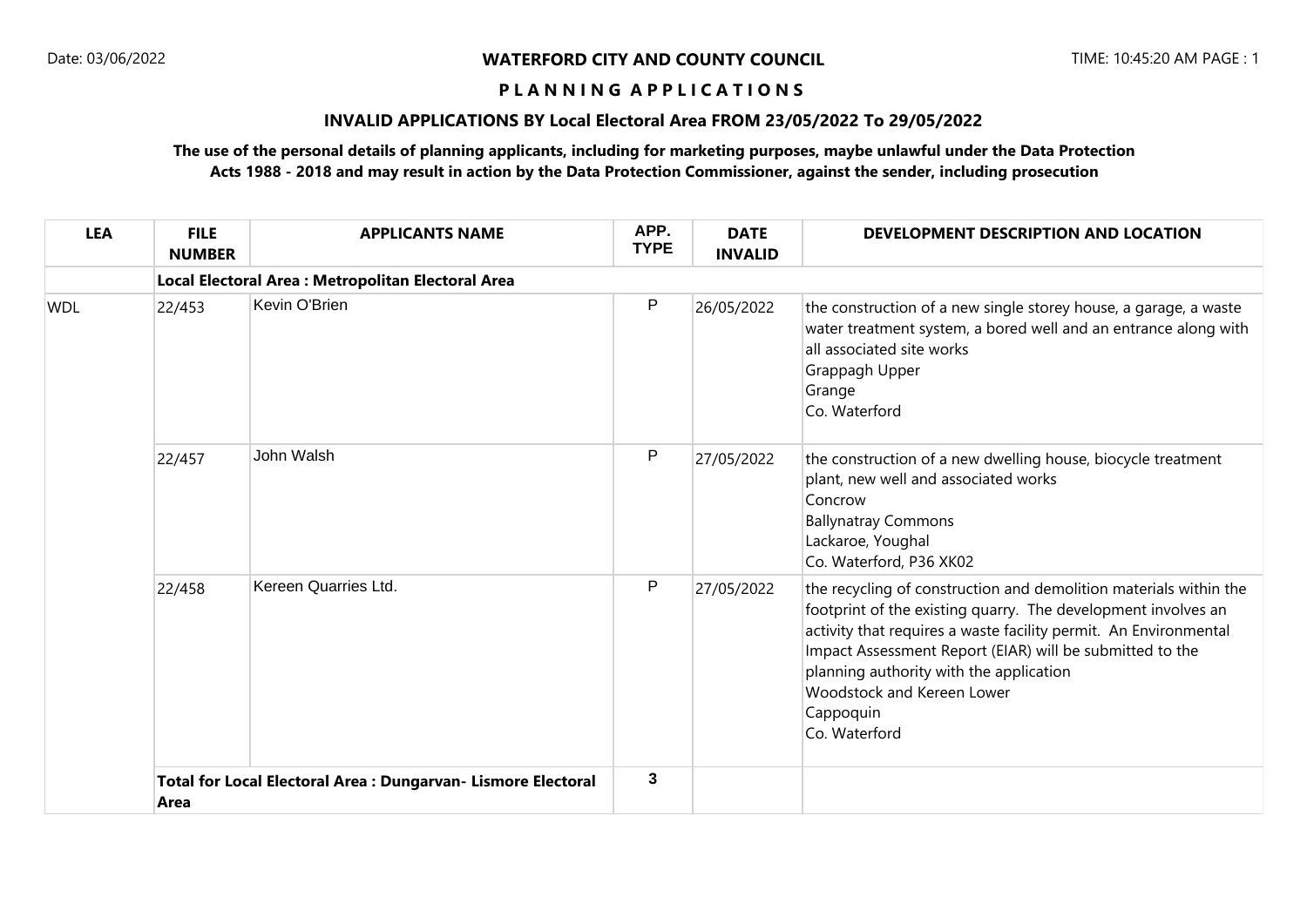#### **P L A N N I N G A P P L I C A T I O N S**

# **INVALID APPLICATIONS BY Local Electoral Area FROM 23/05/2022 To 29/05/2022**

## **The use of the personal details of planning applicants, including for marketing purposes, maybe unlawful under the Data Protection Acts 1988 - 2018 and may result in action by the Data Protection Commissioner, against the sender, including prosecution**

| <b>LEA</b> | <b>FILE</b><br><b>NUMBER</b>                                          | <b>APPLICANTS NAME</b>                             | APP.<br><b>TYPE</b> | <b>DATE</b><br><b>INVALID</b> | DEVELOPMENT DESCRIPTION AND LOCATION                                                                                                                                                                                                                                                                                                                                             |  |  |  |  |  |
|------------|-----------------------------------------------------------------------|----------------------------------------------------|---------------------|-------------------------------|----------------------------------------------------------------------------------------------------------------------------------------------------------------------------------------------------------------------------------------------------------------------------------------------------------------------------------------------------------------------------------|--|--|--|--|--|
|            |                                                                       | Local Electoral Area : Metropolitan Electoral Area |                     |                               |                                                                                                                                                                                                                                                                                                                                                                                  |  |  |  |  |  |
| <b>WDL</b> | 22/453                                                                | Kevin O'Brien                                      | P                   | 26/05/2022                    | the construction of a new single storey house, a garage, a waste<br>water treatment system, a bored well and an entrance along with<br>all associated site works<br>Grappagh Upper<br>Grange<br>Co. Waterford                                                                                                                                                                    |  |  |  |  |  |
|            | 22/457                                                                | John Walsh                                         | P                   | 27/05/2022                    | the construction of a new dwelling house, biocycle treatment<br>plant, new well and associated works<br>Concrow<br><b>Ballynatray Commons</b><br>Lackaroe, Youghal<br>Co. Waterford, P36 XK02                                                                                                                                                                                    |  |  |  |  |  |
|            | 22/458                                                                | Kereen Quarries Ltd.                               | P                   | 27/05/2022                    | the recycling of construction and demolition materials within the<br>footprint of the existing quarry. The development involves an<br>activity that requires a waste facility permit. An Environmental<br>Impact Assessment Report (EIAR) will be submitted to the<br>planning authority with the application<br><b>Woodstock and Kereen Lower</b><br>Cappoquin<br>Co. Waterford |  |  |  |  |  |
|            | Total for Local Electoral Area : Dungarvan- Lismore Electoral<br>Area |                                                    | 3                   |                               |                                                                                                                                                                                                                                                                                                                                                                                  |  |  |  |  |  |